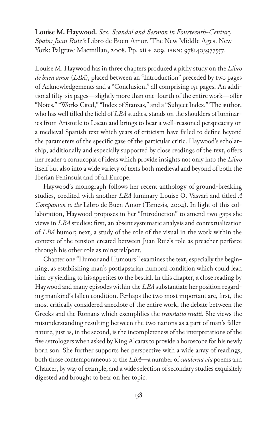**Louise M. Haywood.** *Sex, Scandal and Sermon in Fourteenth-Century Spain: Juan Ruiz's* Libro de Buen Amor. The New Middle Ages. New York: Palgrave Macmillan, 2008. Pp. xii + 209. isbn: 9781403977557.

Louise M. Haywood has in three chapters produced a pithy study on the *Libro de buen amor* (*LBA*), placed between an "Introduction" preceded by two pages of Acknowledgements and a "Conclusion," all comprising 151 pages. An additional fifty-six pages—slightly more than one-fourth of the entire work—offer "Notes," "Works Cited," "Index of Stanzas," and a "Subject Index." The author, who has well tilled the field of *LBA* studies, stands on the shoulders of luminaries from Aristotle to Lacan and brings to bear a well-reasoned perspicacity on a medieval Spanish text which years of criticism have failed to define beyond the parameters of the specific gaze of the particular critic. Haywood's scholarship, additionally and especially supported by close readings of the text, offers her reader a cornucopia of ideas which provide insights not only into the *Libro* itself but also into a wide variety of texts both medieval and beyond of both the Iberian Peninsula and of all Europe.

Haywood's monograph follows her recent anthology of ground-breaking studies, coedited with another *LBA* luminary Louise O. Vasvari and titled *A Companion to the* Libro de Buen Amor (Tamesis, 2004). In light of this collaboration, Haywood proposes in her "Introduction" to amend two gaps she views in *LBA* studies: first, an absent systematic analysis and contextualization of *LBA* humor; next, a study of the role of the visual in the work within the context of the tension created between Juan Ruiz's role as preacher perforce through his other role as minstrel/poet.

Chapter one "Humor and Humours " examines the text, especially the beginning, as establishing man's postlapsarian humoral condition which could lead him by yielding to his appetites to the bestial. In this chapter, a close reading by Haywood and many episodes within the *LBA* substantiate her position regarding mankind's fallen condition. Perhaps the two most important are, first, the most critically considered anecdote of the entire work, the debate between the Greeks and the Romans which exemplifies the *translatio studii*. She views the misunderstanding resulting between the two nations as a part of man's fallen nature, just as, in the second, is the incompleteness of the interpretations of the five astrologers when asked by King Alcaraz to provide a horoscope for his newly born son. She further supports her perspective with a wide array of readings, both those contemporaneous to the *LBA*—a number of *cuaderna vía* poems and Chaucer, by way of example, and a wide selection of secondary studies exquisitely digested and brought to bear on her topic.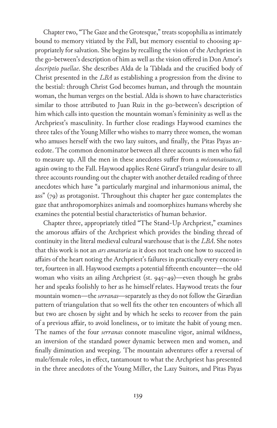Chapter two, "The Gaze and the Grotesque," treats scopophilia as intimately bound to memory vitiated by the Fall, but memory essential to choosing appropriately for salvation. She begins by recalling the vision of the Archpriest in the go-between's description of him as well as the vision offered in Don Amor's *descriptio puellae*. She describes Alda de la Tablada and the crucified body of Christ presented in the *LBA* as establishing a progression from the divine to the bestial: through Christ God becomes human, and through the mountain woman, the human verges on the bestial. Alda is shown to have characteristics similar to those attributed to Juan Ruiz in the go-between's description of him which calls into question the mountain woman's femininity as well as the Archpriest's masculinity. In further close readings Haywood examines the three tales of the Young Miller who wishes to marry three women, the woman who amuses herself with the two lazy suitors, and finally, the Pitas Payas anecdote. The common denominator between all three accounts is men who fail to measure up. All the men in these anecdotes suffer from a *méconnaissance*, again owing to the Fall. Haywood applies René Girard's triangular desire to all three accounts rounding out the chapter with another detailed reading of three anecdotes which have "a particularly marginal and inharmonious animal, the ass" (79) as protagonist. Throughout this chapter her gaze contemplates the gaze that anthropomorphizes animals and zoomorphizes humans whereby she examines the potential bestial characteristics of human behavior.

Chapter three, appropriately titled "The Stand-Up Archpriest," examines the amorous affairs of the Archpriest which provides the binding thread of continuity in the literal medieval cultural warehouse that is the *LBA*. She notes that this work is not an *ars amatoria* as it does not teach one how to succeed in affairs of the heart noting the Archpriest's failures in practically every encounter, fourteen in all. Haywood exempts a potential fifteenth encounter—the old woman who visits an ailing Archpriest (st. 945–49)—even though he grabs her and speaks foolishly to her as he himself relates. Haywood treats the four mountain women—the *serranas*—separately as they do not follow the Girardian pattern of triangulation that so well fits the other ten encounters of which all but two are chosen by sight and by which he seeks to recover from the pain of a previous affair, to avoid loneliness, or to imitate the habit of young men. The names of the four *serranas* connote masculine vigor, animal wildness, an inversion of the standard power dynamic between men and women, and finally diminution and weeping. The mountain adventures offer a reversal of male/female roles, in effect, tantamount to what the Archpriest has presented in the three anecdotes of the Young Miller, the Lazy Suitors, and Pitas Payas